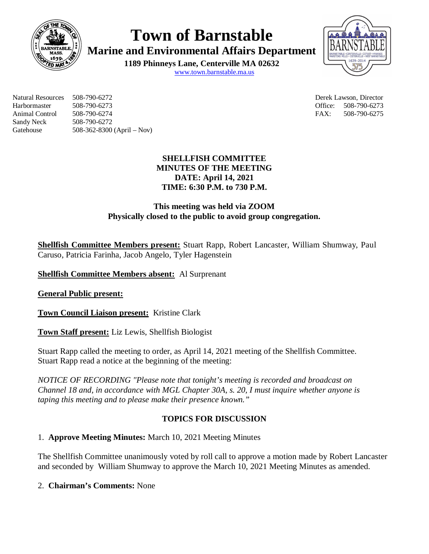

**Town of Barnstable**

**Marine and Environmental Affairs Department**

**1189 Phinneys Lane, Centerville MA 02632** www.town.barnstable.ma.us



Natural Resources 508-790-6272 Derek Lawson, Director Harbormaster 508-790-6273 Office: 508-790-6273 Animal Control 508-790-6274 FAX: 508-790-6275 Sandy Neck 508-790-6272 Gatehouse 508-362-8300 (April – Nov)

# **SHELLFISH COMMITTEE MINUTES OF THE MEETING DATE: April 14, 2021 TIME: 6:30 P.M. to 730 P.M.**

# **This meeting was held via ZOOM Physically closed to the public to avoid group congregation.**

**Shellfish Committee Members present:** Stuart Rapp, Robert Lancaster, William Shumway, Paul Caruso, Patricia Farinha, Jacob Angelo, Tyler Hagenstein

**Shellfish Committee Members absent:** Al Surprenant

**General Public present:**

**Town Council Liaison present:** Kristine Clark

**Town Staff present:** Liz Lewis, Shellfish Biologist

Stuart Rapp called the meeting to order, as April 14, 2021 meeting of the Shellfish Committee. Stuart Rapp read a notice at the beginning of the meeting:

*NOTICE OF RECORDING "Please note that tonight's meeting is recorded and broadcast on Channel 18 and, in accordance with MGL Chapter 30A, s. 20, I must inquire whether anyone is taping this meeting and to please make their presence known."*

# **TOPICS FOR DISCUSSION**

# 1. **Approve Meeting Minutes:** March 10, 2021 Meeting Minutes

The Shellfish Committee unanimously voted by roll call to approve a motion made by Robert Lancaster and seconded by William Shumway to approve the March 10, 2021 Meeting Minutes as amended.

# 2. **Chairman's Comments:** None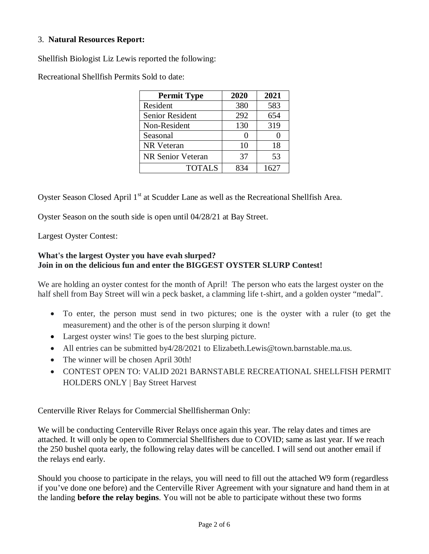### 3. **Natural Resources Report:**

Shellfish Biologist Liz Lewis reported the following:

Recreational Shellfish Permits Sold to date:

| <b>Permit Type</b> | 2020          | 2021 |
|--------------------|---------------|------|
| Resident           | 380           | 583  |
| Senior Resident    | 292           | 654  |
| Non-Resident       | 130           | 319  |
| Seasonal           | $\mathcal{L}$ |      |
| NR Veteran         | 10            | 18   |
| NR Senior Veteran  | 37            | 53   |
| <b>TOTALS</b>      | 834           | 1627 |

Oyster Season Closed April 1<sup>st</sup> at Scudder Lane as well as the Recreational Shellfish Area.

Oyster Season on the south side is open until 04/28/21 at Bay Street.

Largest Oyster Contest:

### **What's the largest Oyster you have evah slurped? Join in on the delicious fun and enter the BIGGEST OYSTER SLURP Contest!**

We are holding an oyster contest for the month of April! The person who eats the largest oyster on the half shell from Bay Street will win a peck basket, a clamming life t-shirt, and a golden oyster "medal".

- To enter, the person must send in two pictures; one is the oyster with a ruler (to get the measurement) and the other is of the person slurping it down!
- Largest oyster wins! Tie goes to the best slurping picture.
- All entries can be submitted by 4/28/2021 to Elizabeth. Lewis@town. barnstable.ma.us.
- The winner will be chosen April 30th!
- CONTEST OPEN TO: VALID 2021 BARNSTABLE RECREATIONAL SHELLFISH PERMIT HOLDERS ONLY | Bay Street Harvest

Centerville River Relays for Commercial Shellfisherman Only:

We will be conducting Centerville River Relays once again this year. The relay dates and times are attached. It will only be open to Commercial Shellfishers due to COVID; same as last year. If we reach the 250 bushel quota early, the following relay dates will be cancelled. I will send out another email if the relays end early.

Should you choose to participate in the relays, you will need to fill out the attached W9 form (regardless if you've done one before) and the Centerville River Agreement with your signature and hand them in at the landing **before the relay begins**. You will not be able to participate without these two forms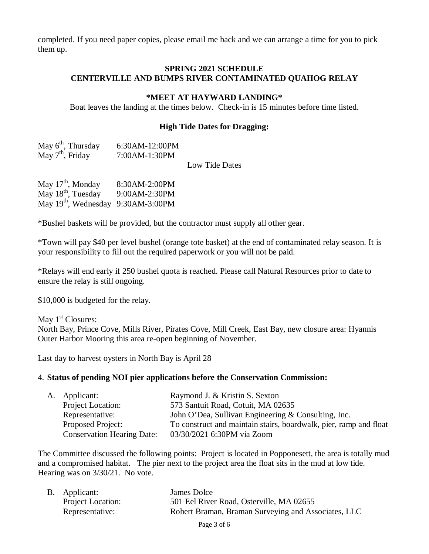completed. If you need paper copies, please email me back and we can arrange a time for you to pick them up.

#### **SPRING 2021 SCHEDULE CENTERVILLE AND BUMPS RIVER CONTAMINATED QUAHOG RELAY**

#### **\*MEET AT HAYWARD LANDING\***

Boat leaves the landing at the times below. Check-in is 15 minutes before time listed.

#### **High Tide Dates for Dragging:**

| May $6th$ , Thursday | 6:30AM-12:00PM |
|----------------------|----------------|
| May $7th$ , Friday   | 7:00AM-1:30PM  |

Low Tide Dates

| May $17th$ , Monday                            | 8:30AM-2:00PM |
|------------------------------------------------|---------------|
| May 18 <sup>th</sup> , Tuesday                 | 9:00AM-2:30PM |
| May 19 <sup>th</sup> , Wednesday 9:30AM-3:00PM |               |

\*Bushel baskets will be provided, but the contractor must supply all other gear.

\*Town will pay \$40 per level bushel (orange tote basket) at the end of contaminated relay season. It is your responsibility to fill out the required paperwork or you will not be paid.

\*Relays will end early if 250 bushel quota is reached. Please call Natural Resources prior to date to ensure the relay is still ongoing.

\$10,000 is budgeted for the relay.

May  $1<sup>st</sup>$  Closures: North Bay, Prince Cove, Mills River, Pirates Cove, Mill Creek, East Bay, new closure area: Hyannis Outer Harbor Mooring this area re-open beginning of November.

Last day to harvest oysters in North Bay is April 28

#### 4. **Status of pending NOI pier applications before the Conservation Commission:**

| A. Applicant:                     | Raymond J. & Kristin S. Sexton                                    |
|-----------------------------------|-------------------------------------------------------------------|
| Project Location:                 | 573 Santuit Road, Cotuit, MA 02635                                |
| Representative:                   | John O'Dea, Sullivan Engineering & Consulting, Inc.               |
| Proposed Project:                 | To construct and maintain stairs, boardwalk, pier, ramp and float |
| <b>Conservation Hearing Date:</b> | 03/30/2021 6:30PM via Zoom                                        |

The Committee discussed the following points: Project is located in Popponesett, the area is totally mud and a compromised habitat. The pier next to the project area the float sits in the mud at low tide. Hearing was on 3/30/21. No vote.

| B. Applicant:            | James Dolce                                         |
|--------------------------|-----------------------------------------------------|
| <b>Project Location:</b> | 501 Eel River Road, Osterville, MA 02655            |
| Representative:          | Robert Braman, Braman Surveying and Associates, LLC |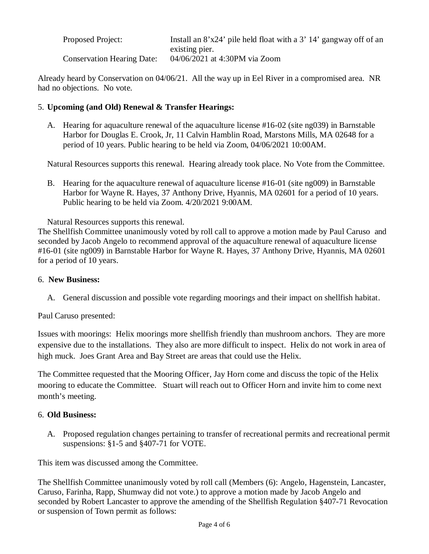| <b>Proposed Project:</b>          | Install an 8'x24' pile held float with a 3' 14' gangway off of an |
|-----------------------------------|-------------------------------------------------------------------|
|                                   | existing pier.                                                    |
| <b>Conservation Hearing Date:</b> | 04/06/2021 at 4:30PM via Zoom                                     |

Already heard by Conservation on 04/06/21. All the way up in Eel River in a compromised area. NR had no objections. No vote.

## 5. **Upcoming (and Old) Renewal & Transfer Hearings:**

A. Hearing for aquaculture renewal of the aquaculture license #16-02 (site ng039) in Barnstable Harbor for Douglas E. Crook, Jr, 11 Calvin Hamblin Road, Marstons Mills, MA 02648 for a period of 10 years. Public hearing to be held via Zoom, 04/06/2021 10:00AM.

Natural Resources supports this renewal. Hearing already took place. No Vote from the Committee.

B. Hearing for the aquaculture renewal of aquaculture license #16-01 (site ng009) in Barnstable Harbor for Wayne R. Hayes, 37 Anthony Drive, Hyannis, MA 02601 for a period of 10 years. Public hearing to be held via Zoom. 4/20/2021 9:00AM.

Natural Resources supports this renewal.

The Shellfish Committee unanimously voted by roll call to approve a motion made by Paul Caruso and seconded by Jacob Angelo to recommend approval of the aquaculture renewal of aquaculture license #16-01 (site ng009) in Barnstable Harbor for Wayne R. Hayes, 37 Anthony Drive, Hyannis, MA 02601 for a period of 10 years.

### 6. **New Business:**

A. General discussion and possible vote regarding moorings and their impact on shellfish habitat.

Paul Caruso presented:

Issues with moorings: Helix moorings more shellfish friendly than mushroom anchors. They are more expensive due to the installations. They also are more difficult to inspect. Helix do not work in area of high muck. Joes Grant Area and Bay Street are areas that could use the Helix.

The Committee requested that the Mooring Officer, Jay Horn come and discuss the topic of the Helix mooring to educate the Committee. Stuart will reach out to Officer Horn and invite him to come next month's meeting.

### 6. **Old Business:**

A. Proposed regulation changes pertaining to transfer of recreational permits and recreational permit suspensions: §1-5 and §407-71 for VOTE.

This item was discussed among the Committee.

The Shellfish Committee unanimously voted by roll call (Members (6): Angelo, Hagenstein, Lancaster, Caruso, Farinha, Rapp, Shumway did not vote.) to approve a motion made by Jacob Angelo and seconded by Robert Lancaster to approve the amending of the Shellfish Regulation §407-71 Revocation or suspension of Town permit as follows: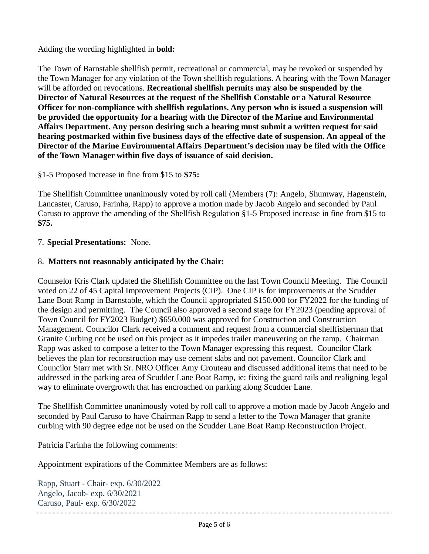Adding the wording highlighted in **bold:**

The Town of Barnstable shellfish permit, recreational or commercial, may be revoked or suspended by the Town Manager for any violation of the Town shellfish regulations. A hearing with the Town Manager will be afforded on revocations. **Recreational shellfish permits may also be suspended by the Director of Natural Resources at the request of the Shellfish Constable or a Natural Resource Officer for non-compliance with shellfish regulations. Any person who is issued a suspension will be provided the opportunity for a hearing with the Director of the Marine and Environmental Affairs Department. Any person desiring such a hearing must submit a written request for said hearing postmarked within five business days of the effective date of suspension. An appeal of the Director of the Marine Environmental Affairs Department's decision may be filed with the Office of the Town Manager within five days of issuance of said decision.** 

## §1-5 Proposed increase in fine from \$15 to **\$75:**

The Shellfish Committee unanimously voted by roll call (Members (7): Angelo, Shumway, Hagenstein, Lancaster, Caruso, Farinha, Rapp) to approve a motion made by Jacob Angelo and seconded by Paul Caruso to approve the amending of the Shellfish Regulation §1-5 Proposed increase in fine from \$15 to **\$75.**

## 7. **Special Presentations:** None.

## 8. **Matters not reasonably anticipated by the Chair:**

Counselor Kris Clark updated the Shellfish Committee on the last Town Council Meeting. The Council voted on 22 of 45 Capital Improvement Projects (CIP). One CIP is for improvements at the Scudder Lane Boat Ramp in Barnstable, which the Council appropriated \$150.000 for FY2022 for the funding of the design and permitting. The Council also approved a second stage for FY2023 (pending approval of Town Council for FY2023 Budget) \$650,000 was approved for Construction and Construction Management. Councilor Clark received a comment and request from a commercial shellfisherman that Granite Curbing not be used on this project as it impedes trailer maneuvering on the ramp. Chairman Rapp was asked to compose a letter to the Town Manager expressing this request. Councilor Clark believes the plan for reconstruction may use cement slabs and not pavement. Councilor Clark and Councilor Starr met with Sr. NRO Officer Amy Crouteau and discussed additional items that need to be addressed in the parking area of Scudder Lane Boat Ramp, ie: fixing the guard rails and realigning legal way to eliminate overgrowth that has encroached on parking along Scudder Lane.

The Shellfish Committee unanimously voted by roll call to approve a motion made by Jacob Angelo and seconded by Paul Caruso to have Chairman Rapp to send a letter to the Town Manager that granite curbing with 90 degree edge not be used on the Scudder Lane Boat Ramp Reconstruction Project.

Patricia Farinha the following comments:

Appointment expirations of the Committee Members are as follows:

Rapp, Stuart - Chair- exp. 6/30/2022 Angelo, Jacob- exp. 6/30/2021 Caruso, Paul- exp. 6/30/2022